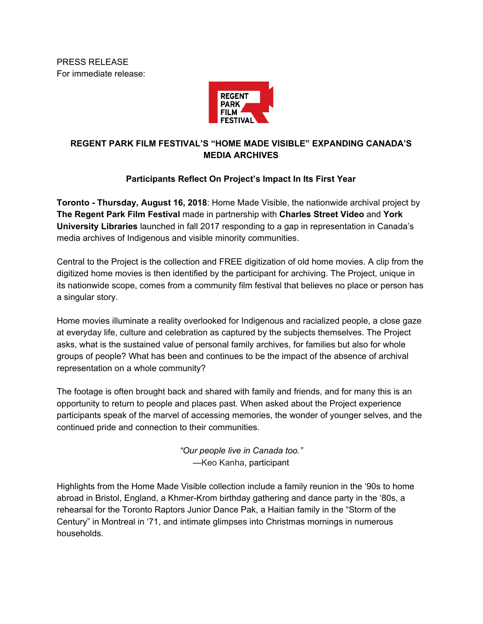PRESS RELEASE For immediate release:



# **REGENT PARK FILM FESTIVAL'S "HOME MADE VISIBLE" EXPANDING CANADA'S MEDIA ARCHIVES**

# **Participants Reflect On Project's Impact In Its First Year**

**Toronto - Thursday, August 16, 2018**: Home Made Visible, the nationwide archival project by **The Regent Park Film Festival** made in partnership with **Charles Street Video** and **York University Libraries** launched in fall 2017 responding to a gap in representation in Canada's media archives of Indigenous and visible minority communities.

Central to the Project is the collection and FREE digitization of old home movies. A clip from the digitized home movies is then identified by the participant for archiving. The Project, unique in its nationwide scope, comes from a community film festival that believes no place or person has a singular story.

Home movies illuminate a reality overlooked for Indigenous and racialized people, a close gaze at everyday life, culture and celebration as captured by the subjects themselves. The Project asks, what is the sustained value of personal family archives, for families but also for whole groups of people? What has been and continues to be the impact of the absence of archival representation on a whole community?

The footage is often brought back and shared with family and friends, and for many this is an opportunity to return to people and places past. When asked about the Project experience participants speak of the marvel of accessing memories, the wonder of younger selves, and the continued pride and connection to their communities.

> *"Our people live in Canada too."* —Keo Kanha, participant

Highlights from the Home Made Visible collection include a family reunion in the '90s to home abroad in Bristol, England, a Khmer-Krom birthday gathering and dance party in the '80s, a rehearsal for the Toronto Raptors Junior Dance Pak, a Haitian family in the "Storm of the Century" in Montreal in '71, and intimate glimpses into Christmas mornings in numerous households.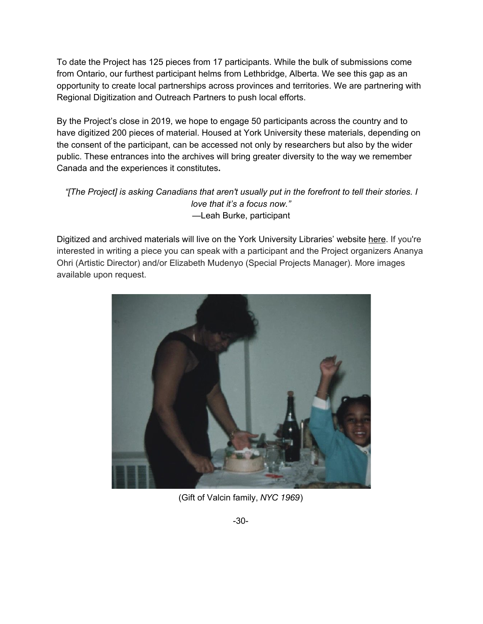To date the Project has 125 pieces from 17 participants. While the bulk of submissions come from Ontario, our furthest participant helms from Lethbridge, Alberta. We see this gap as an opportunity to create local partnerships across provinces and territories. We are partnering with Regional Digitization and Outreach Partners to push local efforts.

By the Project's close in 2019, we hope to engage 50 participants across the country and to have digitized 200 pieces of material. Housed at York University these materials, depending on the consent of the participant, can be accessed not only by researchers but also by the wider public. These entrances into the archives will bring greater diversity to the way we remember Canada and the experiences it constitutes**.**

## *"[The Project] is asking Canadians that aren't usually put in the forefront to tell their stories. I love that it's a focus now." —*Leah Burke, participant

Digitized and archived materials will live on the York University Libraries' website [here](https://digital.library.yorku.ca/yul-f0723/home-made-visible-collection). If you're interested in writing a piece you can speak with a participant and the Project organizers Ananya Ohri (Artistic Director) and/or Elizabeth Mudenyo (Special Projects Manager). More images available upon request.



(Gift of Valcin family, *NYC 1969*)